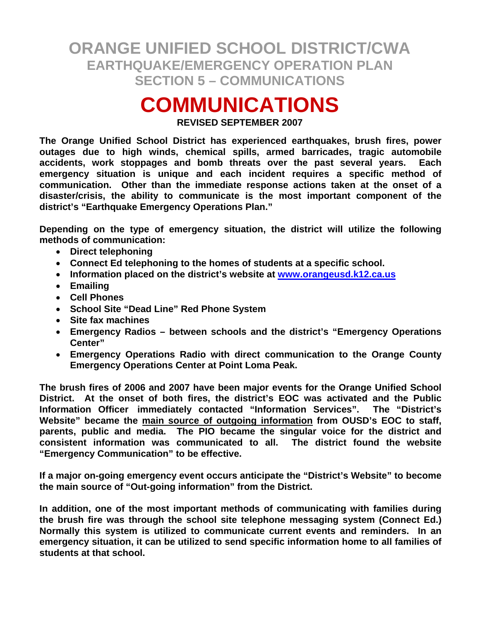# **COMMUNICATIONS**

**REVISED SEPTEMBER 2007** 

**The Orange Unified School District has experienced earthquakes, brush fires, power outages due to high winds, chemical spills, armed barricades, tragic automobile accidents, work stoppages and bomb threats over the past several years. Each emergency situation is unique and each incident requires a specific method of communication. Other than the immediate response actions taken at the onset of a disaster/crisis, the ability to communicate is the most important component of the district's "Earthquake Emergency Operations Plan."** 

**Depending on the type of emergency situation, the district will utilize the following methods of communication:** 

- **Direct telephoning**
- **Connect Ed telephoning to the homes of students at a specific school.**
- **Information placed on the district's website at www.orangeusd.k12.ca.us**
- **Emailing**
- **Cell Phones**
- **School Site "Dead Line" Red Phone System**
- **Site fax machines**
- **Emergency Radios between schools and the district's "Emergency Operations Center"**
- **Emergency Operations Radio with direct communication to the Orange County Emergency Operations Center at Point Loma Peak.**

**The brush fires of 2006 and 2007 have been major events for the Orange Unified School District. At the onset of both fires, the district's EOC was activated and the Public Information Officer immediately contacted "Information Services". The "District's Website" became the main source of outgoing information from OUSD's EOC to staff, parents, public and media. The PIO became the singular voice for the district and consistent information was communicated to all. The district found the website "Emergency Communication" to be effective.** 

**If a major on-going emergency event occurs anticipate the "District's Website" to become the main source of "Out-going information" from the District.** 

**In addition, one of the most important methods of communicating with families during the brush fire was through the school site telephone messaging system (Connect Ed.) Normally this system is utilized to communicate current events and reminders. In an emergency situation, it can be utilized to send specific information home to all families of students at that school.**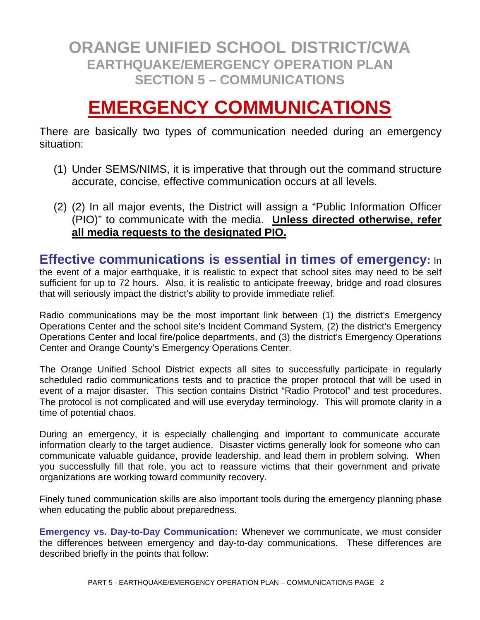# **EMERGENCY COMMUNICATIONS**

There are basically two types of communication needed during an emergency situation:

- (1) Under SEMS/NIMS, it is imperative that through out the command structure accurate, concise, effective communication occurs at all levels.
- (2) (2) In all major events, the District will assign a "Public Information Officer (PIO)" to communicate with the media. **Unless directed otherwise, refer all media requests to the designated PIO.**

**Effective communications is essential in times of emergency:** In the event of a major earthquake, it is realistic to expect that school sites may need to be self sufficient for up to 72 hours. Also, it is realistic to anticipate freeway, bridge and road closures that will seriously impact the district's ability to provide immediate relief.

Radio communications may be the most important link between (1) the district's Emergency Operations Center and the school site's Incident Command System, (2) the district's Emergency Operations Center and local fire/police departments, and (3) the district's Emergency Operations Center and Orange County's Emergency Operations Center.

The Orange Unified School District expects all sites to successfully participate in regularly scheduled radio communications tests and to practice the proper protocol that will be used in event of a major disaster. This section contains District "Radio Protocol" and test procedures. The protocol is not complicated and will use everyday terminology. This will promote clarity in a time of potential chaos.

During an emergency, it is especially challenging and important to communicate accurate information clearly to the target audience. Disaster victims generally look for someone who can communicate valuable guidance, provide leadership, and lead them in problem solving. When you successfully fill that role, you act to reassure victims that their government and private organizations are working toward community recovery.

Finely tuned communication skills are also important tools during the emergency planning phase when educating the public about preparedness.

**Emergency vs. Day-to-Day Communication:** Whenever we communicate, we must consider the differences between emergency and day-to-day communications. These differences are described briefly in the points that follow: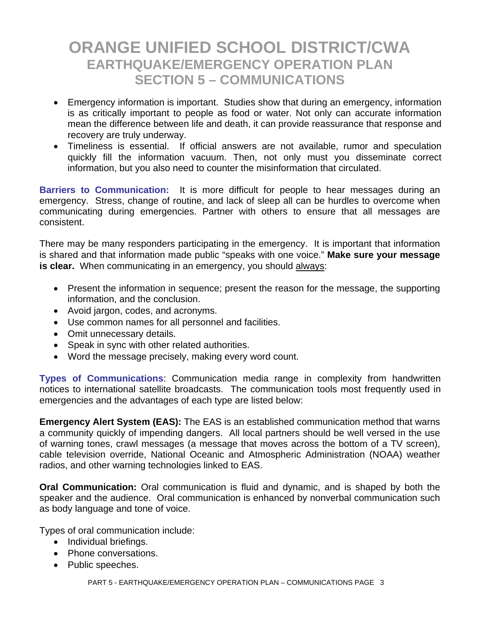- Emergency information is important. Studies show that during an emergency, information is as critically important to people as food or water. Not only can accurate information mean the difference between life and death, it can provide reassurance that response and recovery are truly underway.
- Timeliness is essential. If official answers are not available, rumor and speculation quickly fill the information vacuum. Then, not only must you disseminate correct information, but you also need to counter the misinformation that circulated.

**Barriers to Communication:** It is more difficult for people to hear messages during an emergency. Stress, change of routine, and lack of sleep all can be hurdles to overcome when communicating during emergencies. Partner with others to ensure that all messages are consistent.

There may be many responders participating in the emergency. It is important that information is shared and that information made public "speaks with one voice." **Make sure your message is clear.** When communicating in an emergency, you should always:

- Present the information in sequence; present the reason for the message, the supporting information, and the conclusion.
- Avoid jargon, codes, and acronyms.
- Use common names for all personnel and facilities.
- Omit unnecessary details.
- Speak in sync with other related authorities.
- Word the message precisely, making every word count.

**Types of Communications**: Communication media range in complexity from handwritten notices to international satellite broadcasts. The communication tools most frequently used in emergencies and the advantages of each type are listed below:

**Emergency Alert System (EAS):** The EAS is an established communication method that warns a community quickly of impending dangers. All local partners should be well versed in the use of warning tones, crawl messages (a message that moves across the bottom of a TV screen), cable television override, National Oceanic and Atmospheric Administration (NOAA) weather radios, and other warning technologies linked to EAS.

**Oral Communication:** Oral communication is fluid and dynamic, and is shaped by both the speaker and the audience. Oral communication is enhanced by nonverbal communication such as body language and tone of voice.

Types of oral communication include:

- Individual briefings.
- Phone conversations.
- Public speeches.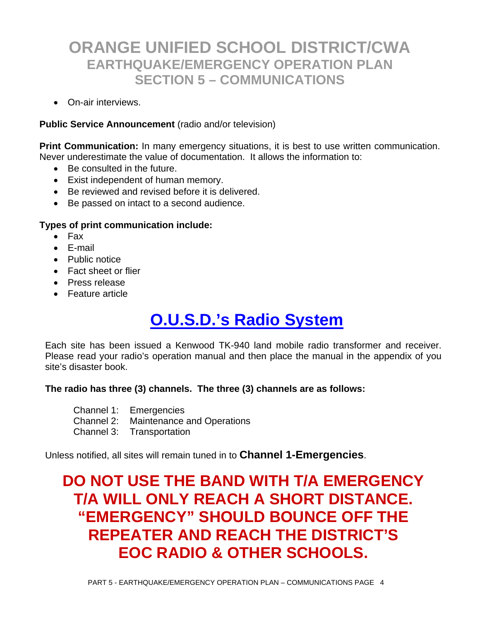• On-air interviews.

#### **Public Service Announcement** (radio and/or television)

**Print Communication:** In many emergency situations, it is best to use written communication. Never underestimate the value of documentation. It allows the information to:

- Be consulted in the future.
- Exist independent of human memory.
- Be reviewed and revised before it is delivered.
- Be passed on intact to a second audience.

#### **Types of print communication include:**

- Fax
- E-mail
- Public notice
- Fact sheet or flier
- Press release
- Feature article

# **O.U.S.D.'s Radio System**

Each site has been issued a Kenwood TK-940 land mobile radio transformer and receiver. Please read your radio's operation manual and then place the manual in the appendix of you site's disaster book.

#### **The radio has three (3) channels. The three (3) channels are as follows:**

- Channel 1: Emergencies
- Channel 2: Maintenance and Operations
- Channel 3: Transportation

Unless notified, all sites will remain tuned in to **Channel 1-Emergencies**.

# **DO NOT USE THE BAND WITH T/A EMERGENCY T/A WILL ONLY REACH A SHORT DISTANCE. "EMERGENCY" SHOULD BOUNCE OFF THE REPEATER AND REACH THE DISTRICT'S EOC RADIO & OTHER SCHOOLS.**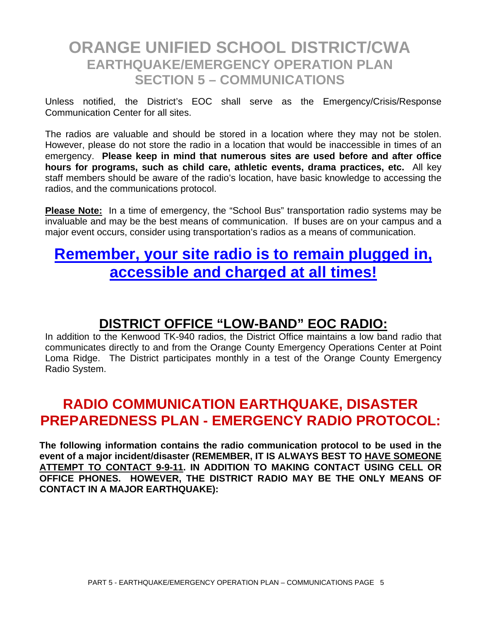Unless notified, the District's EOC shall serve as the Emergency/Crisis/Response Communication Center for all sites.

The radios are valuable and should be stored in a location where they may not be stolen. However, please do not store the radio in a location that would be inaccessible in times of an emergency. **Please keep in mind that numerous sites are used before and after office hours for programs, such as child care, athletic events, drama practices, etc.** All key staff members should be aware of the radio's location, have basic knowledge to accessing the radios, and the communications protocol.

**Please Note:** In a time of emergency, the "School Bus" transportation radio systems may be invaluable and may be the best means of communication. If buses are on your campus and a major event occurs, consider using transportation's radios as a means of communication.

## **Remember, your site radio is to remain plugged in, accessible and charged at all times!**

#### **DISTRICT OFFICE "LOW-BAND" EOC RADIO:**

In addition to the Kenwood TK-940 radios, the District Office maintains a low band radio that communicates directly to and from the Orange County Emergency Operations Center at Point Loma Ridge. The District participates monthly in a test of the Orange County Emergency Radio System.

### **RADIO COMMUNICATION EARTHQUAKE, DISASTER PREPAREDNESS PLAN - EMERGENCY RADIO PROTOCOL:**

**The following information contains the radio communication protocol to be used in the event of a major incident/disaster (REMEMBER, IT IS ALWAYS BEST TO HAVE SOMEONE ATTEMPT TO CONTACT 9-9-11. IN ADDITION TO MAKING CONTACT USING CELL OR OFFICE PHONES. HOWEVER, THE DISTRICT RADIO MAY BE THE ONLY MEANS OF CONTACT IN A MAJOR EARTHQUAKE):**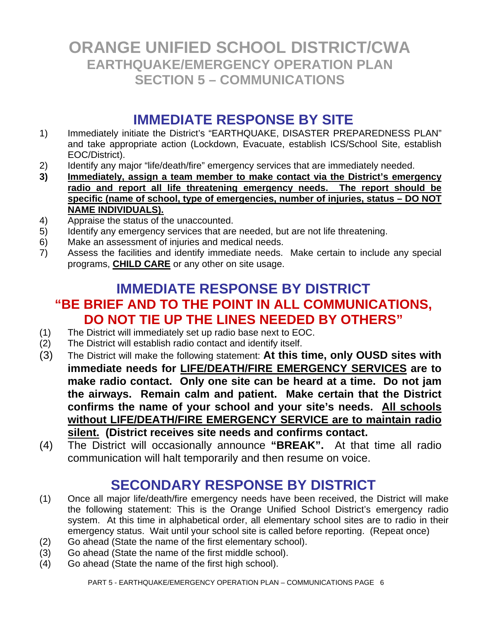### **IMMEDIATE RESPONSE BY SITE**

- 1) Immediately initiate the District's "EARTHQUAKE, DISASTER PREPAREDNESS PLAN" and take appropriate action (Lockdown, Evacuate, establish ICS/School Site, establish EOC/District).
- 2) Identify any major "life/death/fire" emergency services that are immediately needed.
- **3) Immediately, assign a team member to make contact via the District's emergency radio and report all life threatening emergency needs. The report should be specific (name of school, type of emergencies, number of injuries, status – DO NOT NAME INDIVIDUALS).**
- 4) Appraise the status of the unaccounted.
- 5) Identify any emergency services that are needed, but are not life threatening.
- 6) Make an assessment of injuries and medical needs.
- 7) Assess the facilities and identify immediate needs. Make certain to include any special programs, **CHILD CARE** or any other on site usage.

### **IMMEDIATE RESPONSE BY DISTRICT "BE BRIEF AND TO THE POINT IN ALL COMMUNICATIONS, DO NOT TIE UP THE LINES NEEDED BY OTHERS"**

- (1) The District will immediately set up radio base next to EOC.
- $(2)$  The District will establish radio contact and identify itself.
- (3) The District will make the following statement: **At this time, only OUSD sites with immediate needs for LIFE/DEATH/FIRE EMERGENCY SERVICES are to make radio contact. Only one site can be heard at a time. Do not jam the airways. Remain calm and patient. Make certain that the District confirms the name of your school and your site's needs. All schools without LIFE/DEATH/FIRE EMERGENCY SERVICE are to maintain radio silent. (District receives site needs and confirms contact.**
- (4) The District will occasionally announce **"BREAK".** At that time all radio communication will halt temporarily and then resume on voice.

### **SECONDARY RESPONSE BY DISTRICT**

- (1) Once all major life/death/fire emergency needs have been received, the District will make the following statement: This is the Orange Unified School District's emergency radio system. At this time in alphabetical order, all elementary school sites are to radio in their emergency status. Wait until your school site is called before reporting. (Repeat once)
- (2) Go ahead (State the name of the first elementary school).
- (3) Go ahead (State the name of the first middle school).
- (4) Go ahead (State the name of the first high school).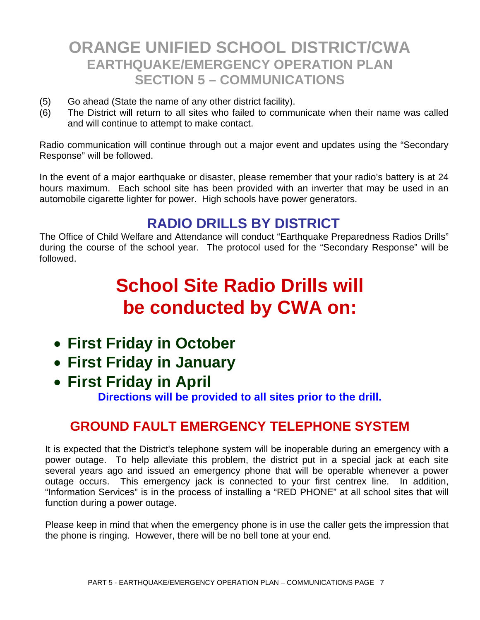- (5) Go ahead (State the name of any other district facility).
- (6) The District will return to all sites who failed to communicate when their name was called and will continue to attempt to make contact.

Radio communication will continue through out a major event and updates using the "Secondary Response" will be followed.

In the event of a major earthquake or disaster, please remember that your radio's battery is at 24 hours maximum. Each school site has been provided with an inverter that may be used in an automobile cigarette lighter for power. High schools have power generators.

## **RADIO DRILLS BY DISTRICT**

The Office of Child Welfare and Attendance will conduct "Earthquake Preparedness Radios Drills" during the course of the school year. The protocol used for the "Secondary Response" will be followed.

# **School Site Radio Drills will be conducted by CWA on:**

- **First Friday in October**
- **First Friday in January**
- **First Friday in April**

**Directions will be provided to all sites prior to the drill.** 

### **GROUND FAULT EMERGENCY TELEPHONE SYSTEM**

It is expected that the District's telephone system will be inoperable during an emergency with a power outage. To help alleviate this problem, the district put in a special jack at each site several years ago and issued an emergency phone that will be operable whenever a power outage occurs. This emergency jack is connected to your first centrex line. In addition, "Information Services" is in the process of installing a "RED PHONE" at all school sites that will function during a power outage.

Please keep in mind that when the emergency phone is in use the caller gets the impression that the phone is ringing. However, there will be no bell tone at your end.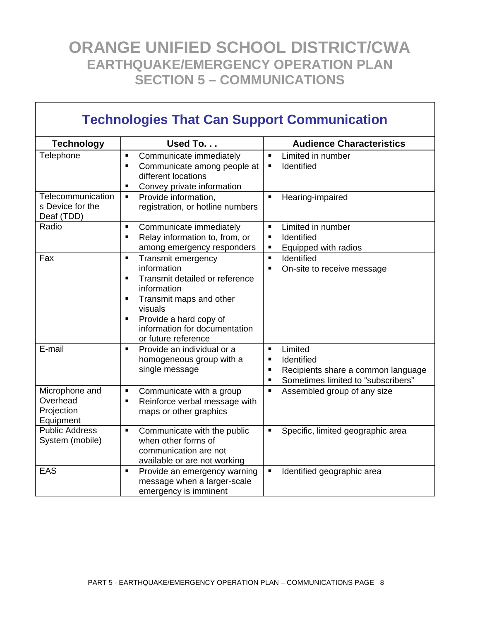٦

 $\overline{\Gamma}$ 

| <b>Technologies That Can Support Communication</b>    |                                                                                                                                                                                                                                |                                                                                                                                                                           |  |
|-------------------------------------------------------|--------------------------------------------------------------------------------------------------------------------------------------------------------------------------------------------------------------------------------|---------------------------------------------------------------------------------------------------------------------------------------------------------------------------|--|
| <b>Technology</b>                                     | Used To                                                                                                                                                                                                                        | <b>Audience Characteristics</b>                                                                                                                                           |  |
| Telephone                                             | Communicate immediately<br>٠<br>Communicate among people at<br>٠<br>different locations<br>Convey private information<br>٠                                                                                                     | Limited in number<br>Identified<br>Е                                                                                                                                      |  |
| Telecommunication<br>s Device for the<br>Deaf (TDD)   | Provide information,<br>Ξ<br>registration, or hotline numbers                                                                                                                                                                  | Hearing-impaired                                                                                                                                                          |  |
| Radio                                                 | Communicate immediately<br>п<br>Relay information to, from, or<br>٠<br>among emergency responders                                                                                                                              | Limited in number<br>$\blacksquare$<br>Identified<br>$\blacksquare$<br>Equipped with radios<br>٠                                                                          |  |
| Fax                                                   | Transmit emergency<br>п<br>information<br>Transmit detailed or reference<br>٠<br>information<br>Transmit maps and other<br>ш<br>visuals<br>Provide a hard copy of<br>п<br>information for documentation<br>or future reference | Identified<br>$\blacksquare$<br>On-site to receive message<br>$\blacksquare$                                                                                              |  |
| E-mail                                                | Provide an individual or a<br>٠<br>homogeneous group with a<br>single message                                                                                                                                                  | Limited<br>$\blacksquare$<br>Identified<br>$\blacksquare$<br>Recipients share a common language<br>$\blacksquare$<br>Sometimes limited to "subscribers"<br>$\blacksquare$ |  |
| Microphone and<br>Overhead<br>Projection<br>Equipment | Communicate with a group<br>п<br>Reinforce verbal message with<br>٠<br>maps or other graphics                                                                                                                                  | Assembled group of any size<br>$\blacksquare$                                                                                                                             |  |
| <b>Public Address</b><br>System (mobile)              | Communicate with the public<br>٠<br>when other forms of<br>communication are not<br>available or are not working                                                                                                               | Specific, limited geographic area                                                                                                                                         |  |
| <b>EAS</b>                                            | Provide an emergency warning<br>$\blacksquare$<br>message when a larger-scale<br>emergency is imminent                                                                                                                         | Identified geographic area<br>$\blacksquare$                                                                                                                              |  |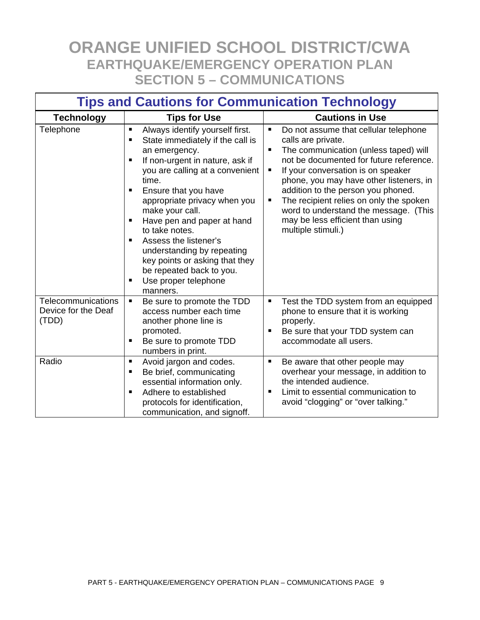| <b>Tips and Cautions for Communication Technology</b> |                                                                                                                                                                                                                                                                                                                                                                                                                                                                                          |                                                                                                                                                                                                                                                                                                                                                                                                                                                               |  |
|-------------------------------------------------------|------------------------------------------------------------------------------------------------------------------------------------------------------------------------------------------------------------------------------------------------------------------------------------------------------------------------------------------------------------------------------------------------------------------------------------------------------------------------------------------|---------------------------------------------------------------------------------------------------------------------------------------------------------------------------------------------------------------------------------------------------------------------------------------------------------------------------------------------------------------------------------------------------------------------------------------------------------------|--|
| <b>Technology</b>                                     | <b>Tips for Use</b>                                                                                                                                                                                                                                                                                                                                                                                                                                                                      | <b>Cautions in Use</b>                                                                                                                                                                                                                                                                                                                                                                                                                                        |  |
| Telephone                                             | Always identify yourself first.<br>٠<br>State immediately if the call is<br>п<br>an emergency.<br>If non-urgent in nature, ask if<br>$\blacksquare$<br>you are calling at a convenient<br>time.<br>Ensure that you have<br>appropriate privacy when you<br>make your call.<br>Have pen and paper at hand<br>to take notes.<br>Assess the listener's<br>п<br>understanding by repeating<br>key points or asking that they<br>be repeated back to you.<br>Use proper telephone<br>manners. | Do not assume that cellular telephone<br>$\blacksquare$<br>calls are private.<br>The communication (unless taped) will<br>not be documented for future reference.<br>If your conversation is on speaker<br>Е<br>phone, you may have other listeners, in<br>addition to the person you phoned.<br>The recipient relies on only the spoken<br>$\blacksquare$<br>word to understand the message. (This<br>may be less efficient than using<br>multiple stimuli.) |  |
| Telecommunications<br>Device for the Deaf<br>(TDD)    | Be sure to promote the TDD<br>п<br>access number each time<br>another phone line is<br>promoted.<br>Be sure to promote TDD<br>numbers in print.                                                                                                                                                                                                                                                                                                                                          | Test the TDD system from an equipped<br>$\blacksquare$<br>phone to ensure that it is working<br>properly.<br>Be sure that your TDD system can<br>п<br>accommodate all users.                                                                                                                                                                                                                                                                                  |  |
| Radio                                                 | Avoid jargon and codes.<br>п<br>Be brief, communicating<br>п<br>essential information only.<br>Adhere to established<br>protocols for identification,<br>communication, and signoff.                                                                                                                                                                                                                                                                                                     | Be aware that other people may<br>п<br>overhear your message, in addition to<br>the intended audience.<br>Limit to essential communication to<br>$\blacksquare$<br>avoid "clogging" or "over talking."                                                                                                                                                                                                                                                        |  |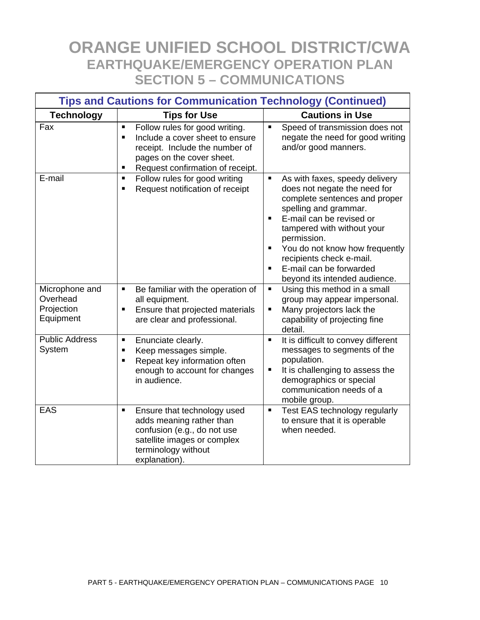| <b>Tips and Cautions for Communication Technology (Continued)</b> |                                                                                                                                                                                                               |                                                                                                                                                                                                                                                                                                                                       |  |
|-------------------------------------------------------------------|---------------------------------------------------------------------------------------------------------------------------------------------------------------------------------------------------------------|---------------------------------------------------------------------------------------------------------------------------------------------------------------------------------------------------------------------------------------------------------------------------------------------------------------------------------------|--|
| <b>Technology</b>                                                 | <b>Tips for Use</b>                                                                                                                                                                                           | <b>Cautions in Use</b>                                                                                                                                                                                                                                                                                                                |  |
| Fax                                                               | $\blacksquare$<br>Follow rules for good writing.<br>Include a cover sheet to ensure<br>$\blacksquare$<br>receipt. Include the number of<br>pages on the cover sheet.<br>Request confirmation of receipt.<br>п | $\blacksquare$<br>Speed of transmission does not<br>negate the need for good writing<br>and/or good manners.                                                                                                                                                                                                                          |  |
| E-mail                                                            | Follow rules for good writing<br>п<br>Request notification of receipt<br>п                                                                                                                                    | As with faxes, speedy delivery<br>does not negate the need for<br>complete sentences and proper<br>spelling and grammar.<br>E-mail can be revised or<br>tampered with without your<br>permission.<br>You do not know how frequently<br>п<br>recipients check e-mail.<br>E-mail can be forwarded<br>٠<br>beyond its intended audience. |  |
| Microphone and<br>Overhead<br>Projection<br>Equipment             | Be familiar with the operation of<br>Ξ<br>all equipment.<br>Ensure that projected materials<br>$\blacksquare$<br>are clear and professional.                                                                  | Using this method in a small<br>$\blacksquare$<br>group may appear impersonal.<br>Many projectors lack the<br>٠<br>capability of projecting fine<br>detail.                                                                                                                                                                           |  |
| <b>Public Address</b><br>System                                   | Enunciate clearly.<br>٠<br>Keep messages simple.<br>$\blacksquare$<br>Repeat key information often<br>٠<br>enough to account for changes<br>in audience.                                                      | $\blacksquare$<br>It is difficult to convey different<br>messages to segments of the<br>population.<br>It is challenging to assess the<br>ш<br>demographics or special<br>communication needs of a<br>mobile group.                                                                                                                   |  |
| <b>EAS</b>                                                        | $\blacksquare$<br>Ensure that technology used<br>adds meaning rather than<br>confusion (e.g., do not use<br>satellite images or complex<br>terminology without<br>explanation).                               | $\blacksquare$<br>Test EAS technology regularly<br>to ensure that it is operable<br>when needed.                                                                                                                                                                                                                                      |  |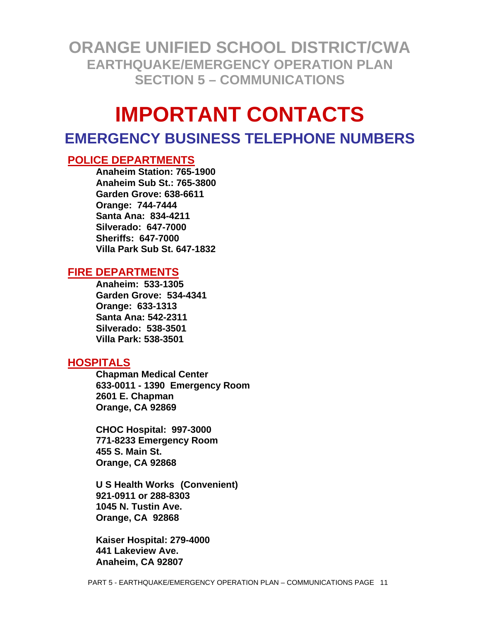# **IMPORTANT CONTACTS**

#### **EMERGENCY BUSINESS TELEPHONE NUMBERS**

#### **POLICE DEPARTMENTS**

 **Anaheim Station: 765-1900 Anaheim Sub St.: 765-3800 Garden Grove: 638-6611 Orange: 744-7444 Santa Ana: 834-4211 Silverado: 647-7000 Sheriffs: 647-7000 Villa Park Sub St. 647-1832** 

#### **FIRE DEPARTMENTS**

 **Anaheim: 533-1305 Garden Grove: 534-4341 Orange: 633-1313 Santa Ana: 542-2311 Silverado: 538-3501 Villa Park: 538-3501** 

#### **HOSPITALS**

**Chapman Medical Center 633-0011 - 1390 Emergency Room 2601 E. Chapman Orange, CA 92869** 

**CHOC Hospital: 997-3000 771-8233 Emergency Room 455 S. Main St. Orange, CA 92868** 

**U S Health Works (Convenient) 921-0911 or 288-8303 1045 N. Tustin Ave. Orange, CA 92868** 

**Kaiser Hospital: 279-4000 441 Lakeview Ave. Anaheim, CA 92807**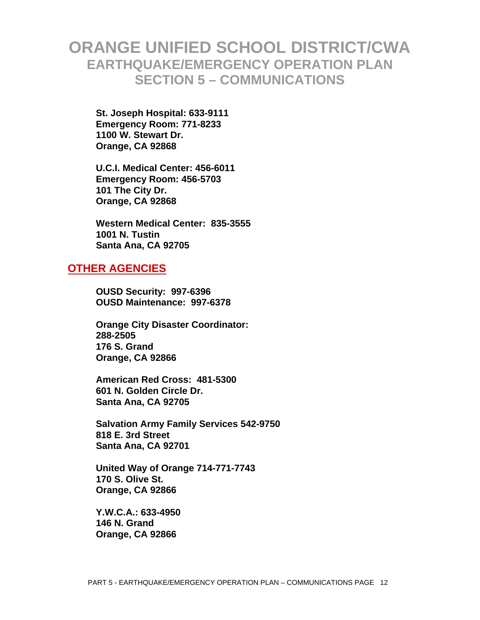**St. Joseph Hospital: 633-9111 Emergency Room: 771-8233 1100 W. Stewart Dr. Orange, CA 92868** 

 **U.C.I. Medical Center: 456-6011 Emergency Room: 456-5703 101 The City Dr. Orange, CA 92868** 

 **Western Medical Center: 835-3555 1001 N. Tustin Santa Ana, CA 92705** 

#### **OTHER AGENCIES**

**OUSD Security: 997-6396 OUSD Maintenance: 997-6378** 

**Orange City Disaster Coordinator: 288-2505 176 S. Grand Orange, CA 92866** 

 **American Red Cross: 481-5300 601 N. Golden Circle Dr. Santa Ana, CA 92705** 

 **Salvation Army Family Services 542-9750 818 E. 3rd Street Santa Ana, CA 92701** 

 **United Way of Orange 714-771-7743 170 S. Olive St. Orange, CA 92866** 

 **Y.W.C.A.: 633-4950 146 N. Grand Orange, CA 92866**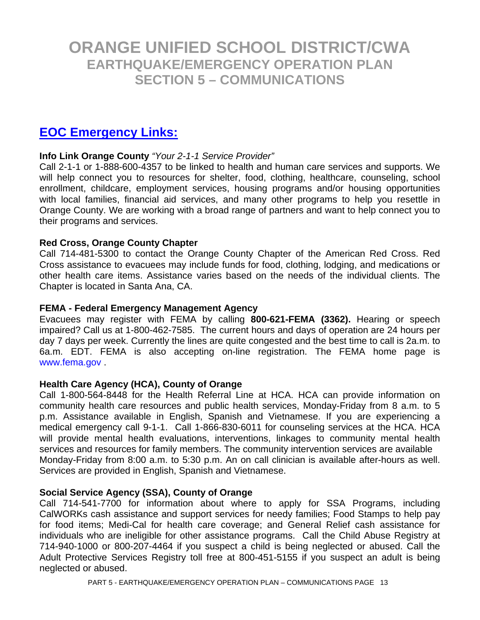#### **EOC Emergency Links:**

#### **Info Link Orange County** *"Your 2-1-1 Service Provider"*

Call 2-1-1 or 1-888-600-4357 to be linked to health and human care services and supports. We will help connect you to resources for shelter, food, clothing, healthcare, counseling, school enrollment, childcare, employment services, housing programs and/or housing opportunities with local families, financial aid services, and many other programs to help you resettle in Orange County. We are working with a broad range of partners and want to help connect you to their programs and services.

#### **Red Cross, Orange County Chapter**

Call 714-481-5300 to contact the Orange County Chapter of the American Red Cross. Red Cross assistance to evacuees may include funds for food, clothing, lodging, and medications or other health care items. Assistance varies based on the needs of the individual clients. The Chapter is located in Santa Ana, CA.

#### **FEMA - Federal Emergency Management Agency**

Evacuees may register with FEMA by calling **800-621-FEMA (3362).** Hearing or speech impaired? Call us at 1-800-462-7585. The current hours and days of operation are 24 hours per day 7 days per week. Currently the lines are quite congested and the best time to call is 2a.m. to 6a.m. EDT. FEMA is also accepting on-line registration. The FEMA home page is www.fema.gov .

#### **Health Care Agency (HCA), County of Orange**

Call 1-800-564-8448 for the Health Referral Line at HCA. HCA can provide information on community health care resources and public health services, Monday-Friday from 8 a.m. to 5 p.m. Assistance available in English, Spanish and Vietnamese. If you are experiencing a medical emergency call 9-1-1. Call 1-866-830-6011 for counseling services at the HCA. HCA will provide mental health evaluations, interventions, linkages to community mental health services and resources for family members. The community intervention services are available Monday-Friday from 8:00 a.m. to 5:30 p.m. An on call clinician is available after-hours as well. Services are provided in English, Spanish and Vietnamese.

#### **Social Service Agency (SSA), County of Orange**

Call 714-541-7700 for information about where to apply for SSA Programs, including CalWORKs cash assistance and support services for needy families; Food Stamps to help pay for food items; Medi-Cal for health care coverage; and General Relief cash assistance for individuals who are ineligible for other assistance programs. Call the Child Abuse Registry at 714-940-1000 or 800-207-4464 if you suspect a child is being neglected or abused. Call the Adult Protective Services Registry toll free at 800-451-5155 if you suspect an adult is being neglected or abused.